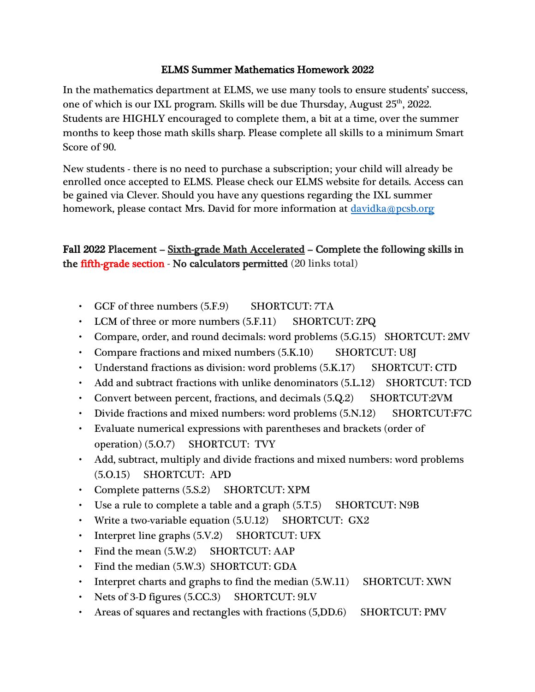### ELMS Summer Mathematics Homework 2022

In the mathematics department at ELMS, we use many tools to ensure students' success, one of which is our IXL program. Skills will be due Thursday, August  $25<sup>th</sup>$ , 2022. Students are HIGHLY encouraged to complete them, a bit at a time, over the summer months to keep those math skills sharp. Please complete all skills to a minimum Smart Score of 90.

New students - there is no need to purchase a subscription; your child will already be enrolled once accepted to ELMS. Please check our ELMS website for details. Access can be gained via Clever. Should you have any questions regarding the IXL summer homework, please contact Mrs. David for more information at [davidka@pcsb.org](mailto:davidka@pcsb.org)

# Fall 2022 Placement – Sixth-grade Math Accelerated – Complete the following skills in the fifth-grade section - No calculators permitted (20 links total)

- GCF of three numbers (5.F.9) SHORTCUT: 7TA
- LCM of three or more numbers  $(5.F.11)$  SHORTCUT: ZPQ
- Compare, order, and round decimals: word problems (5.G.15) SHORTCUT: 2MV
- Compare fractions and mixed numbers  $(5.K.10)$  SHORTCUT: U8J
- Understand fractions as division: word problems (5.K.17) SHORTCUT: CTD
- Add and subtract fractions with unlike denominators (5.L.12) SHORTCUT: TCD
- Convert between percent, fractions, and decimals (5.Q.2) SHORTCUT:2VM
- Divide fractions and mixed numbers: word problems (5.N.12) SHORTCUT:F7C
- Evaluate numerical expressions with parentheses and brackets (order of operation) (5.O.7) SHORTCUT: TVY
- Add, subtract, multiply and divide fractions and mixed numbers: word problems (5.O.15) SHORTCUT: APD
- Complete patterns (5.S.2) SHORTCUT: XPM
- Use a rule to complete a table and a graph  $(5. T.5)$  SHORTCUT: N9B
- Write a two-variable equation (5.U.12) SHORTCUT: GX2
- Interpret line graphs (5.V.2) SHORTCUT: UFX
- Find the mean  $(5.W.2)$  SHORTCUT: AAP
- Find the median (5.W.3) SHORTCUT: GDA
- Interpret charts and graphs to find the median  $(5.W.11)$  SHORTCUT: XWN
- Nets of 3-D figures (5.CC.3) SHORTCUT: 9LV
- Areas of squares and rectangles with fractions (5, DD.6) SHORTCUT: PMV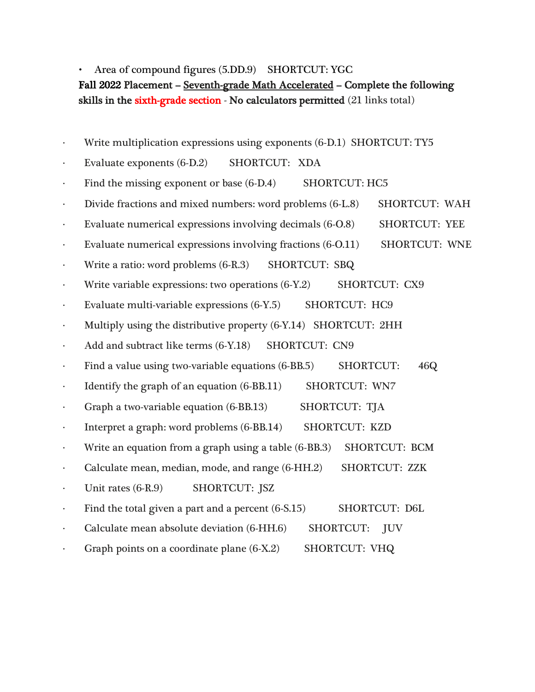Area of compound figures (5.DD.9) SHORTCUT: YGC Fall 2022 Placement – Seventh-grade Math Accelerated – Complete the following

skills in the sixth-grade section - No calculators permitted (21 links total)

- · Write multiplication expressions using exponents (6-D.1) SHORTCUT: TY5
- · Evaluate exponents (6-D.2) SHORTCUT: XDA
- Find the missing exponent or base (6-D.4) SHORTCUT: HC5
- · Divide fractions and mixed numbers: word problems (6-L.8) SHORTCUT: WAH
- Evaluate numerical expressions involving decimals (6-O.8) SHORTCUT: YEE
- · Evaluate numerical expressions involving fractions (6-O.11) SHORTCUT: WNE
- · Write a ratio: word problems (6-R.3) SHORTCUT: SBQ
- Write variable expressions: two operations (6-Y.2) SHORTCUT: CX9
- · Evaluate multi-variable expressions (6-Y.5) SHORTCUT: HC9
- Multiply using the distributive property (6-Y.14) SHORTCUT: 2HH
- Add and subtract like terms (6-Y.18) SHORTCUT: CN9
- · Find a value using two-variable equations (6-BB.5) SHORTCUT: 46Q
- Identify the graph of an equation (6-BB.11) SHORTCUT: WN7
- · Graph a two-variable equation (6-BB.13) SHORTCUT: TJA
- Interpret a graph: word problems (6-BB.14) SHORTCUT: KZD
- Write an equation from a graph using a table (6-BB.3) SHORTCUT: BCM
- · Calculate mean, median, mode, and range (6-HH.2) SHORTCUT: ZZK
- Unit rates (6-R.9) SHORTCUT: JSZ
- Find the total given a part and a percent (6-S.15) SHORTCUT: D6L
- Calculate mean absolute deviation (6-HH.6) SHORTCUT: JUV
- Graph points on a coordinate plane (6-X.2) SHORTCUT: VHQ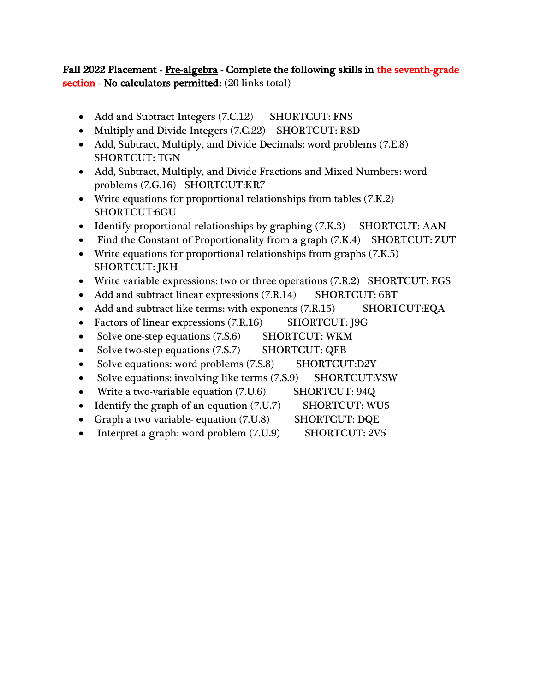## Fall 2022 Placement - Pre-algebra - Complete the following skills in the seventh-grade section - No calculators permitted: (20 links total)

- Add and Subtract Integers (7.C.12) SHORTCUT: FNS
- Multiply and Divide Integers (7.C.22) SHORTCUT: R8D
- Add, Subtract, Multiply, and Divide Decimals: word problems (7.E.8) SHORTCUT: TGN
- Add, Subtract, Multiply, and Divide Fractions and Mixed Numbers: word problems (7.G.16) SHORTCUT:KR7
- Write equations for proportional relationships from tables (7.K.2) SHORTCUT:6GU
- Identify proportional relationships by graphing  $(7.K.3)$  SHORTCUT: AAN
- Find the Constant of Proportionality from a graph (7.K.4) SHORTCUT: ZUT
- Write equations for proportional relationships from graphs (7.K.5) SHORTCUT: JKH
- Write variable expressions: two or three operations (7.R.2) SHORTCUT: EGS
- Add and subtract linear expressions (7.R.14) SHORTCUT: 6BT
- Add and subtract like terms: with exponents (7.R.15) SHORTCUT:EQA
- Factors of linear expressions (7.R.16) SHORTCUT: J9G
- Solve one-step equations (7.S.6) SHORTCUT: WKM
- Solve two-step equations (7.S.7) SHORTCUT: QEB
- Solve equations: word problems (7.S.8) SHORTCUT:D2Y
- Solve equations: involving like terms (7.S.9) SHORTCUT:VSW
- Write a two-variable equation (7.U.6) SHORTCUT: 94Q
- Identify the graph of an equation (7.U.7) SHORTCUT: WU5
- Graph a two variable- equation (7.U.8) SHORTCUT: DQE
- Interpret a graph: word problem (7.U.9) SHORTCUT: 2V5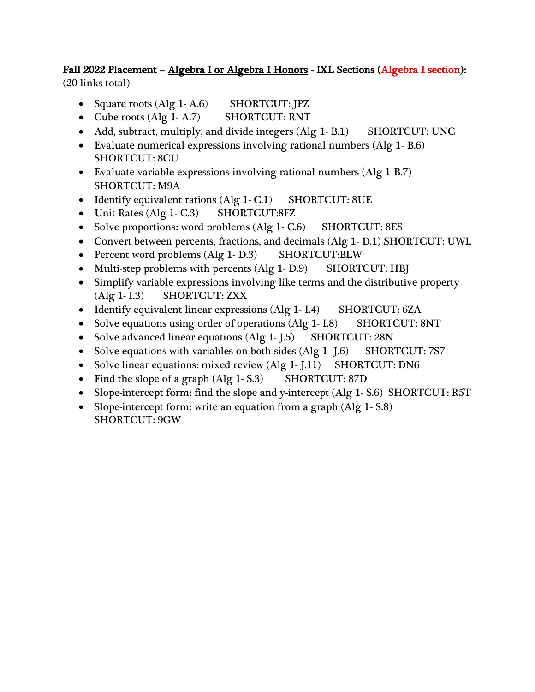## Fall 2022 Placement – Algebra I or Algebra I Honors - IXL Sections (Algebra I section): (20 links total)

- Square roots (Alg 1-A.6) SHORTCUT: JPZ
- Cube roots (Alg 1-A.7) SHORTCUT: RNT
- Add, subtract, multiply, and divide integers (Alg 1-B.1) SHORTCUT: UNC
- Evaluate numerical expressions involving rational numbers (Alg 1- B.6) SHORTCUT: 8CU
- Evaluate variable expressions involving rational numbers (Alg 1-B.7) SHORTCUT: M9A
- Identify equivalent rations (Alg 1- C.1) SHORTCUT: 8UE
- Unit Rates (Alg 1-C.3) SHORTCUT:8FZ
- Solve proportions: word problems (Alg 1-C.6) SHORTCUT: 8ES
- Convert between percents, fractions, and decimals (Alg 1- D.1) SHORTCUT: UWL
- Percent word problems (Alg 1-D.3) SHORTCUT:BLW
- Multi-step problems with percents (Alg 1-D.9) SHORTCUT: HBJ
- Simplify variable expressions involving like terms and the distributive property (Alg 1- I.3) SHORTCUT: ZXX
- Identify equivalent linear expressions (Alg 1- I.4) SHORTCUT: 6ZA
- Solve equations using order of operations (Alg 1- I.8) SHORTCUT: 8NT
- Solve advanced linear equations (Alg 1-J.5) SHORTCUT: 28N
- Solve equations with variables on both sides (Alg 1-J.6) SHORTCUT: 7S7
- Solve linear equations: mixed review (Alg 1- J.11) SHORTCUT: DN6
- Find the slope of a graph (Alg 1-S.3) SHORTCUT: 87D
- Slope-intercept form: find the slope and y-intercept (Alg 1- S.6) SHORTCUT: R5T
- Slope-intercept form: write an equation from a graph (Alg 1-S.8) SHORTCUT: 9GW